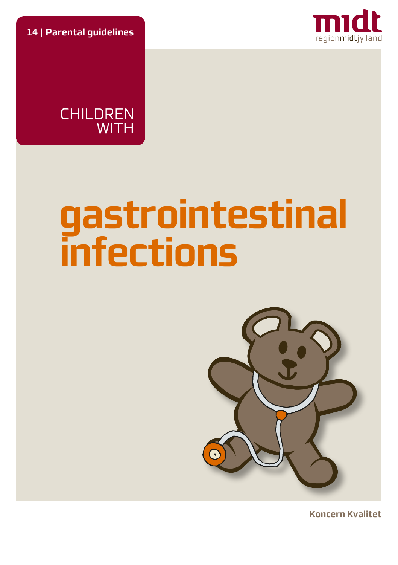**14** | **Parental guidelines**





# **gastrointestinal infections**



**Koncern Kvalitet**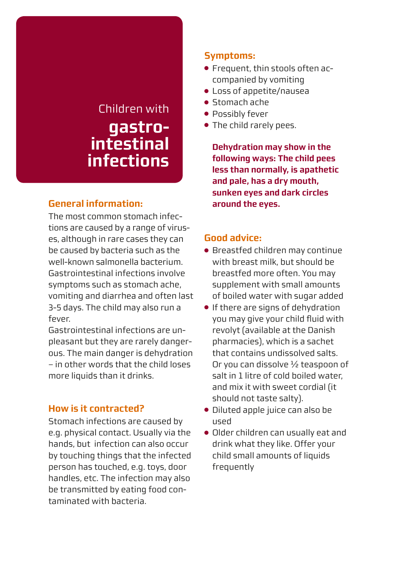# Children with **gastrointestinal infections**

# **General information:**

The most common stomach infections are caused by a range of viruses, although in rare cases they can be caused by bacteria such as the well-known salmonella bacterium. Gastrointestinal infections involve symptoms such as stomach ache, vomiting and diarrhea and often last 3-5 days. The child may also run a fever.

Gastrointestinal infections are unpleasant but they are rarely dangerous. The main danger is dehydration – in other words that the child loses more liquids than it drinks.

# **How is it contracted?**

Stomach infections are caused by e.g. physical contact. Usually via the hands, but infection can also occur by touching things that the infected person has touched, e.g. toys, door handles, etc. The infection may also be transmitted by eating food contaminated with bacteria.

# **Symptoms:**

- Frequent, thin stools often accompanied by vomiting
- Loss of appetite/nausea
- Stomach ache
- Possibly fever
- The child rarely pees.

**Dehydration may show in the following ways: The child pees less than normally, is apathetic and pale, has a dry mouth, sunken eyes and dark circles around the eyes.**

#### **Good advice:**

- Breastfed children may continue with breast milk, but should be breastfed more often. You may supplement with small amounts of boiled water with sugar added
- If there are signs of dehydration you may give your child fluid with revolyt (available at the Danish pharmacies), which is a sachet that contains undissolved salts. Or you can dissolve ½ teaspoon of salt in 1 litre of cold boiled water and mix it with sweet cordial (it should not taste salty).
- Diluted apple juice can also be used
- Older children can usually eat and drink what they like. Offer your child small amounts of liquids frequently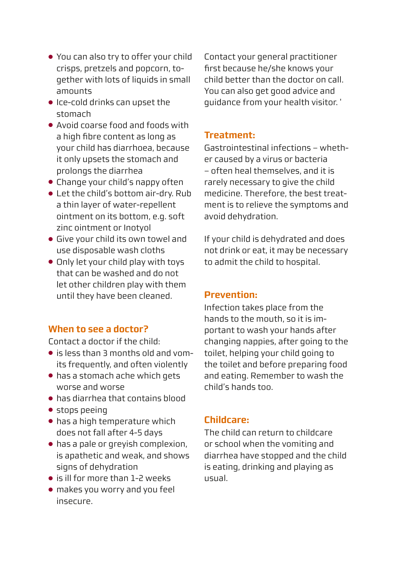- You can also try to offer your child crisps, pretzels and popcorn, together with lots of liquids in small amounts
- Ice-cold drinks can upset the stomach
- Avoid coarse food and foods with a high fibre content as long as your child has diarrhoea, because it only upsets the stomach and prolongs the diarrhea
- Change your child's nappy often
- Let the child's bottom air-dry. Rub a thin layer of water-repellent ointment on its bottom, e.g. soft zinc ointment or Inotyol
- Give your child its own towel and use disposable wash cloths
- Only let your child play with toys that can be washed and do not let other children play with them until they have been cleaned.

#### **When to see a doctor?**

Contact a doctor if the child:

- is less than 3 months old and vomits frequently, and often violently
- has a stomach ache which gets worse and worse
- has diarrhea that contains blood
- stops peeing
- has a high temperature which does not fall after 4-5 days
- has a pale or greyish complexion, is apathetic and weak, and shows signs of dehydration
- is ill for more than 1-2 weeks
- makes you worry and you feel insecure.

Contact your general practitioner first because he/she knows your child better than the doctor on call. You can also get good advice and guidance from your health visitor. '

## **Treatment:**

Gastrointestinal infections – whether caused by a virus or bacteria – often heal themselves, and it is rarely necessary to give the child medicine. Therefore, the hest treatment is to relieve the symptoms and avoid dehydration.

If your child is dehydrated and does not drink or eat, it may be necessary to admit the child to hospital.

#### **Prevention:**

Infection takes place from the hands to the mouth, so it is important to wash your hands after changing nappies, after going to the toilet, helping your child going to the toilet and before preparing food and eating. Remember to wash the child's hands too.

# **Childcare:**

The child can return to childcare or school when the vomiting and diarrhea have stopped and the child is eating, drinking and playing as usual.